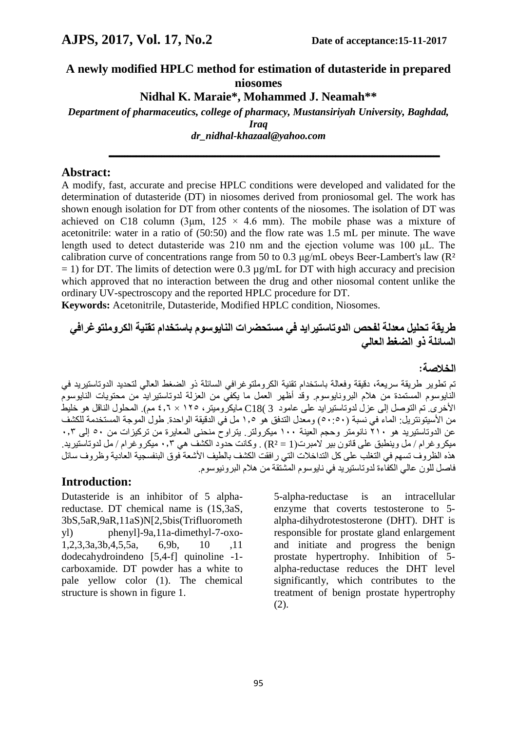# **A newly modified HPLC method for estimation of dutasteride in prepared niosomes**

**Nidhal K. Maraie\*, Mohammed J. Neamah\*\***

*Department of pharmaceutics, college of pharmacy, Mustansiriyah University, Baghdad, Iraq dr\_nidhal-khazaal@yahoo.com*

**ـــــــــــــــــــــــــــــــــــــــــــــــــــــــــــــــــــــــــــــــــــــــــــــــــــــــــــــــــــــــــــــــــــــــــــــــــــــــــــــــــــــــــــــــــــــــــــــــــــــــــــــــــــــ**

#### **Abstract:**

A modify, fast, accurate and precise HPLC conditions were developed and validated for the determination of dutasteride (DT) in niosomes derived from proniosomal gel. The work has shown enough isolation for DT from other contents of the niosomes. The isolation of DT was achieved on C18 column (3<sub>km</sub>,  $125 \times 4.6$  mm). The mobile phase was a mixture of acetonitrile: water in a ratio of (50:50) and the flow rate was 1.5 mL per minute. The wave length used to detect dutasteride was 210 nm and the ejection volume was 100 μL. The calibration curve of concentrations range from 50 to 0.3 μg/mL obeys Beer-Lambert's law (R²  $= 1$ ) for DT. The limits of detection were 0.3  $\mu$ g/mL for DT with high accuracy and precision which approved that no interaction between the drug and other niosomal content unlike the ordinary UV-spectroscopy and the reported HPLC procedure for DT.

**Keywords:** Acetonitrile, Dutasteride, Modified HPLC condition, Niosomes.

# **طريقة تحليل معدلة لفحص الدوتاستيرايد في مستحضرات النايوسوم باستخدام تقنية الكروملتوغرافي السائلة ذو الضغط العالي**

#### **الخالصة:**

تم تطوير طريقة سريعة, دقيقة وفعالة باستخدام تقنية الكروملتوغرافي السائلة ذو الضغط العالي لتحديد الدوتاستيريد في النايوسوم المستمدة من هالم البرونايوسوم. وقد أظهر العمل ما يكفي من العزلة لدوتاستيرايد من محتويات النايوسوم األخرى. تم التوصل إلى عزل لدوتاستيرايد على عامود 3 )18C مايكروميتر, 125 × 4.6 مم(. المحلول الناقل هو خليط من الأسيتونتريل: الماء في نسبة (٥٠:٥٠) ومعدل التدفق هو ١,٥ مل في الدقيقة الواحدة. طول الموجة المستخدمة للكشف عن الدوتاستيريد هو ٢١٠ نانومتر وحجم العينة ١٠٠ ميكرولتر. يتراوح منحنى المعايرة من تركيزات من ٥٠ إلى ٠,٣. ميكروغرام / مل وينطبق على قانون بير المبرت)1 = ²R ). وكانت حدود الكشف هي 0.3 ميكروغرام / مل لدوتاستيريد. هذه الظروف تسهم في التغلب على كل التداخلات التي رافقت الكشف بالطيف الأشعة فوق البنفسجية العادية وظروف سائل فاصل للون عالي الكفاءة لدوتاستيريد في نايوسوم المشتقة من هالم البرونيوسوم.

# **Introduction:**

Dutasteride is an inhibitor of 5 alphareductase. DT chemical name is (1S,3aS, 3bS,5aR,9aR,11aS)N[2,5bis(Trifluorometh yl) phenyl]-9a,11a-dimethyl-7-oxo-1,2,3,3a,3b,4,5,5a, 6,9b, 10 ,11 dodecahydroindeno [5,4-f] quinoline -1 carboxamide. DT powder has a white to pale yellow color (1). The chemical structure is shown in figure 1.

5-alpha-reductase is an intracellular enzyme that coverts testosterone to 5 alpha-dihydrotestosterone (DHT). DHT is responsible for prostate gland enlargement and initiate and progress the benign prostate hypertrophy. Inhibition of 5 alpha-reductase reduces the DHT level significantly, which contributes to the treatment of benign prostate hypertrophy (2).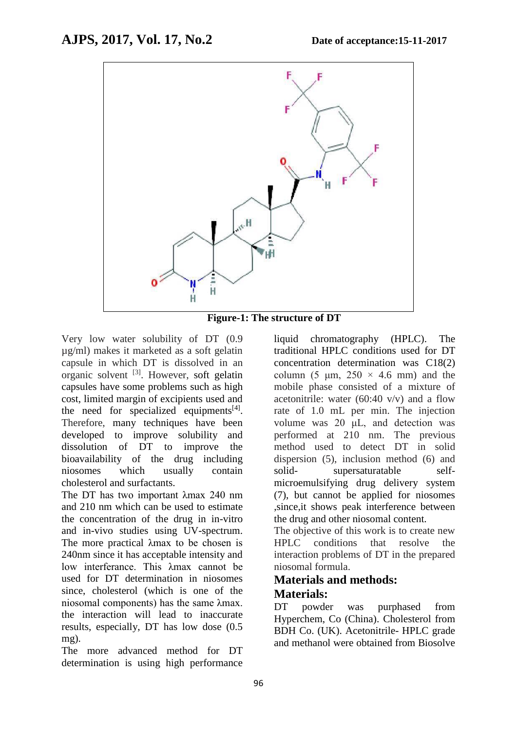

**Figure-1: The structure of DT** 

Very low water solubility of DT (0.9 µg/ml) makes it marketed as a soft gelatin capsule in which DT is dissolved in an organic solvent <sup>[3]</sup>. However, soft gelatin capsules have some problems such as high cost, limited margin of excipients used and the need for specialized equipments $^{[4]}$ . Therefore, many techniques have been developed to improve solubility and dissolution of DT to improve the bioavailability of the drug including niosomes which usually contain cholesterol and surfactants.

The DT has two important λmax 240 nm and 210 nm which can be used to estimate the concentration of the drug in in-vitro and in-vivo studies using UV-spectrum. The more practical λmax to be chosen is 240nm since it has acceptable intensity and low interferance. This λmax cannot be used for DT determination in niosomes since, cholesterol (which is one of the niosomal components) has the same λmax. the interaction will lead to inaccurate results, especially, DT has low dose (0.5 mg).

The more advanced method for DT determination is using high performance liquid chromatography (HPLC). The traditional HPLC conditions used for DT concentration determination was C18(2) column (5  $\mu$ m, 250  $\times$  4.6 mm) and the mobile phase consisted of a mixture of acetonitrile: water  $(60:40 \text{ v/v})$  and a flow rate of 1.0 mL per min. The injection volume was 20 μL, and detection was performed at 210 nm. The previous method used to detect DT in solid dispersion (5), inclusion method (6) and solid- supersaturatable selfmicroemulsifying drug delivery system (7), but cannot be applied for niosomes ,since,it shows peak interference between the drug and other niosomal content.

The objective of this work is to create new HPLC conditions that resolve the interaction problems of DT in the prepared niosomal formula.

# **Materials and methods: Materials:**

DT powder was purphased from Hyperchem, Co (China). Cholesterol from BDH Co. (UK). Acetonitrile- HPLC grade and methanol were obtained from Biosolve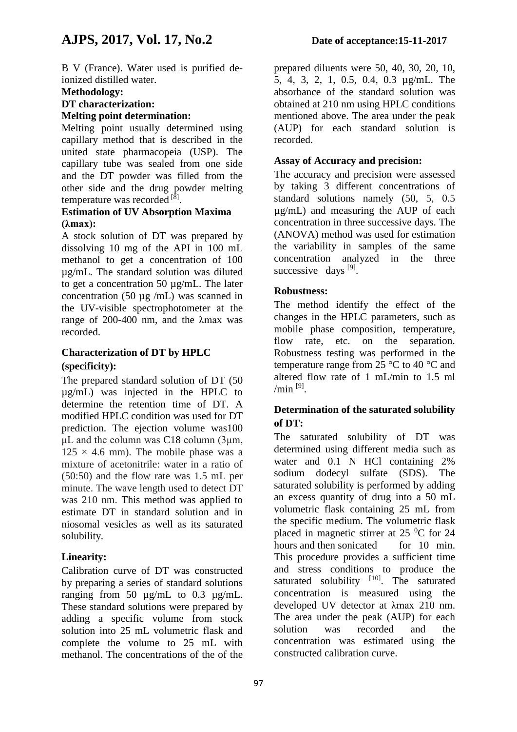B V (France). Water used is purified deionized distilled water.

#### **Methodology:**

# **DT characterization:**

# **Melting point determination:**

Melting point usually determined using capillary method that is described in the united state pharmacopeia (USP). The capillary tube was sealed from one side and the DT powder was filled from the other side and the drug powder melting temperature was recorded<sup>[8]</sup>.

#### **Estimation of UV Absorption Maxima (λmax):**

A stock solution of DT was prepared by dissolving 10 mg of the API in 100 mL methanol to get a concentration of 100 µg/mL. The standard solution was diluted to get a concentration 50 µg/mL. The later concentration (50 µg /mL) was scanned in the UV-visible spectrophotometer at the range of 200-400 nm, and the λmax was recorded.

#### **Characterization of DT by HPLC (specificity):**

The prepared standard solution of DT (50 µg/mL) was injected in the HPLC to determine the retention time of DT. A modified HPLC condition was used for DT prediction. The ejection volume was100 μL and the column was C18 column (3μm,  $125 \times 4.6$  mm). The mobile phase was a mixture of acetonitrile: water in a ratio of (50:50) and the flow rate was 1.5 mL per minute. The wave length used to detect DT was 210 nm. This method was applied to estimate DT in standard solution and in niosomal vesicles as well as its saturated solubility.

# **Linearity:**

Calibration curve of DT was constructed by preparing a series of standard solutions ranging from 50 µg/mL to 0.3 µg/mL. These standard solutions were prepared by adding a specific volume from stock solution into 25 mL volumetric flask and complete the volume to 25 mL with methanol. The concentrations of the of the

prepared diluents were 50, 40, 30, 20, 10, 5, 4, 3, 2, 1, 0.5, 0.4, 0.3 µg/mL. The absorbance of the standard solution was obtained at 210 nm using HPLC conditions mentioned above. The area under the peak (AUP) for each standard solution is recorded.

### **Assay of Accuracy and precision:**

The accuracy and precision were assessed by taking 3 different concentrations of standard solutions namely (50, 5, 0.5 µg/mL) and measuring the AUP of each concentration in three successive days. The (ANOVA) method was used for estimation the variability in samples of the same concentration analyzed in the three successive days [9].

#### **Robustness:**

The method identify the effect of the changes in the HPLC parameters, such as mobile phase composition, temperature, flow rate, etc. on the separation. Robustness testing was performed in the temperature range from 25  $\degree$ C to 40  $\degree$ C and altered flow rate of 1 mL/min to 1.5 ml /min  $^{[9]}$ .

#### **Determination of the saturated solubility of DT:**

The saturated solubility of DT was determined using different media such as water and 0.1 N HCl containing 2% sodium dodecyl sulfate (SDS). The saturated solubility is performed by adding an excess quantity of drug into a 50 mL volumetric flask containing 25 mL from the specific medium. The volumetric flask placed in magnetic stirrer at  $25\degree$ C for 24 hours and then sonicated for 10 min. This procedure provides a sufficient time and stress conditions to produce the saturated solubility  $[10]$ . The saturated concentration is measured using the developed UV detector at λmax 210 nm. The area under the peak (AUP) for each solution was recorded and the concentration was estimated using the constructed calibration curve.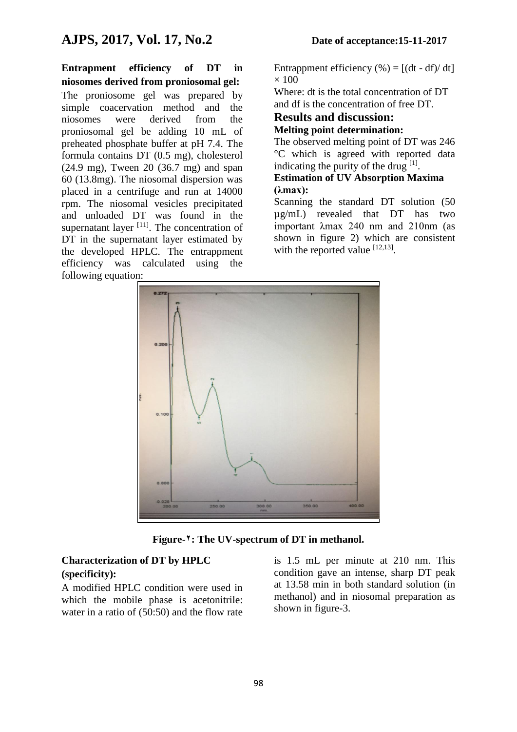**Entrapment efficiency of DT in niosomes derived from proniosomal gel:** The proniosome gel was prepared by simple coacervation method and the niosomes were derived from the proniosomal gel be adding 10 mL of preheated phosphate buffer at pH 7.4. The formula contains DT (0.5 mg), cholesterol (24.9 mg), Tween 20 (36.7 mg) and span 60 (13.8mg). The niosomal dispersion was placed in a centrifuge and run at 14000 rpm. The niosomal vesicles precipitated and unloaded DT was found in the supernatant layer  $[11]$ . The concentration of DT in the supernatant layer estimated by the developed HPLC. The entrappment efficiency was calculated using the following equation:

Entrappment efficiency  $(\% ) = [(\mathrm{dt} - \mathrm{df})/\mathrm{dt}]$  $\times$  100

Where: dt is the total concentration of DT and df is the concentration of free DT.

#### **Results and discussion: Melting point determination:**

The observed melting point of DT was 246 °C which is agreed with reported data indicating the purity of the drug  $^{[1]}$ .

#### **Estimation of UV Absorption Maxima (λmax):**

Scanning the standard DT solution (50 µg/mL) revealed that DT has two important λmax 240 nm and 210nm (as shown in figure 2) which are consistent with the reported value  $[12,13]$ .



**Figure-2: The UV-spectrum of DT in methanol.**

#### **Characterization of DT by HPLC (specificity):**

A modified HPLC condition were used in which the mobile phase is acetonitrile: water in a ratio of (50:50) and the flow rate is 1.5 mL per minute at 210 nm. This condition gave an intense, sharp DT peak at 13.58 min in both standard solution (in methanol) and in niosomal preparation as shown in figure-3.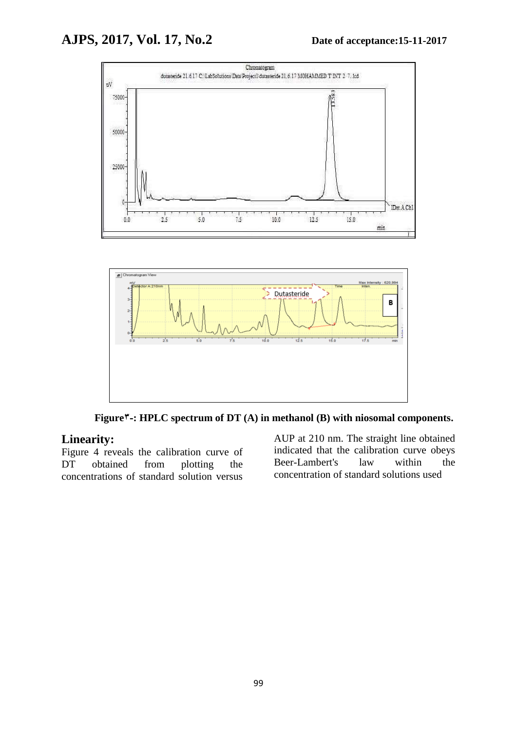



Figure<sup> $\tau$ </sup>-: HPLC spectrum of DT (A) in methanol (B) with niosomal components.

# **Linearity:**

Figure 4 reveals the calibration curve of DT obtained from plotting the concentrations of standard solution versus

AUP at 210 nm. The straight line obtained indicated that the calibration curve obeys Beer-Lambert's law within the concentration of standard solutions used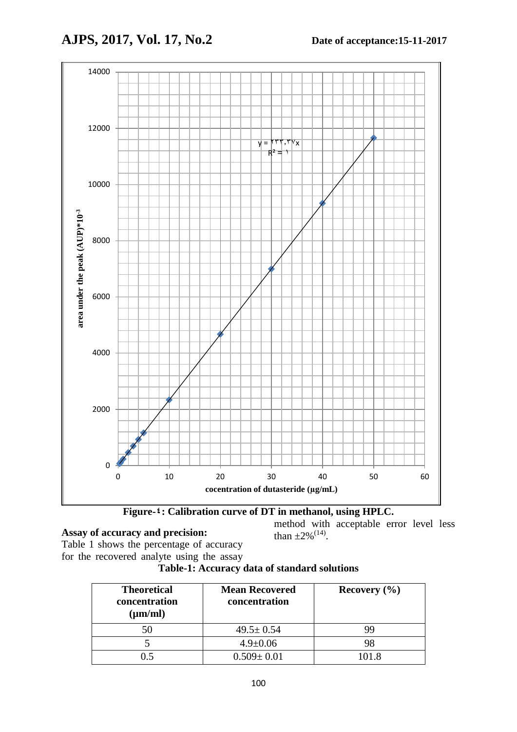

**Figure-4: Calibration curve of DT in methanol, using HPLC.**

# **Assay of accuracy and precision:**

Table 1 shows the percentage of accuracy for the recovered analyte using the assay method with acceptable error level less than  $\pm 2\%$ <sup>(14)</sup>.

**Table-1: Accuracy data of standard solutions**

| <b>Theoretical</b><br>concentration<br>$(\mu m/ml)$ | <b>Mean Recovered</b><br>concentration | Recovery $(\% )$ |
|-----------------------------------------------------|----------------------------------------|------------------|
| 50                                                  | $49.5 \pm 0.54$                        | 99               |
|                                                     | $4.9 \pm 0.06$                         | 98               |
|                                                     | $0.509 \pm 0.01$                       | 101.8            |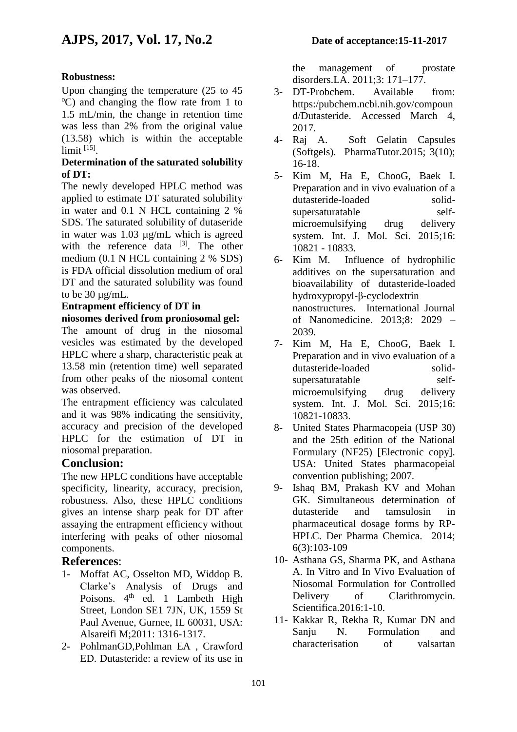# **Robustness:**

Upon changing the temperature (25 to 45  $^{\circ}$ C) and changing the flow rate from 1 to 1.5 mL/min, the change in retention time was less than 2% from the original value (13.58) which is within the acceptable limit [15] .

#### **Determination of the saturated solubility of DT:**

The newly developed HPLC method was applied to estimate DT saturated solubility in water and 0.1 N HCL containing 2 % SDS. The saturated solubility of dutaseride in water was 1.03 µg/mL which is agreed with the reference data  $[3]$ . The other medium (0.1 N HCL containing 2 % SDS) is FDA official dissolution medium of oral DT and the saturated solubility was found to be 30 µg/mL.

#### **Entrapment efficiency of DT in**

**niosomes derived from proniosomal gel:** The amount of drug in the niosomal vesicles was estimated by the developed HPLC where a sharp, characteristic peak at 13.58 min (retention time) well separated from other peaks of the niosomal content was observed.

The entrapment efficiency was calculated and it was 98% indicating the sensitivity, accuracy and precision of the developed HPLC for the estimation of DT in niosomal preparation.

#### **Conclusion:**

The new HPLC conditions have acceptable specificity, linearity, accuracy, precision, robustness. Also, these HPLC conditions gives an intense sharp peak for DT after assaying the entrapment efficiency without interfering with peaks of other niosomal components.

#### **References**:

- 1- Moffat AC, Osselton MD, Widdop B. Clarke's Analysis of Drugs and Poisons.  $4<sup>th</sup>$  ed. 1 Lambeth High Street, London SE1 7JN, UK, 1559 St Paul Avenue, Gurnee, IL 60031, USA: Alsareifi M;2011: 1316-1317.
- 2- PohlmanGD,Pohlman EA , Crawford ED. Dutasteride: a review of its use in

the management of prostate disorders.LA. 2011;3: 171–177.

- 3- DT-Probchem. Available from: https:/pubchem.ncbi.nih.gov/compoun d/Dutasteride. Accessed March 4, 2017.
- 4- Raj A. Soft Gelatin Capsules (Softgels). PharmaTutor.2015; 3(10); 16-18.
- 5- Kim M, Ha E, ChooG, Baek I. Preparation and in vivo evaluation of a dutasteride-loaded solidsupersaturatable selfmicroemulsifying drug delivery system. Int. J. Mol. Sci. 2015;16: 10821 - 10833.
- 6- Kim M. Influence of hydrophilic additives on the supersaturation and bioavailability of dutasteride-loaded hydroxypropyl-β-cyclodextrin nanostructures. International Journal of Nanomedicine. 2013;8: 2029 – 2039.
- 7- Kim M, Ha E, ChooG, Baek I. Preparation and in vivo evaluation of a dutasteride-loaded solidsupersaturatable selfmicroemulsifying drug delivery system. Int. J. Mol. Sci. 2015;16: 10821-10833.
- 8- United States Pharmacopeia (USP 30) and the 25th edition of the National Formulary (NF25) [Electronic copy]. USA: United States pharmacopeial convention publishing; 2007.
- 9- Ishaq BM, Prakash KV and Mohan GK. Simultaneous determination of dutasteride and tamsulosin in pharmaceutical dosage forms by RP-HPLC. Der Pharma Chemica. 2014; 6(3):103-109
- 10- Asthana GS, Sharma PK, and Asthana A. In Vitro and In Vivo Evaluation of Niosomal Formulation for Controlled Delivery of Clarithromycin. Scientifica.2016:1-10.
- 11- Kakkar R, Rekha R, Kumar DN and Sanju N. Formulation and characterisation of valsartan